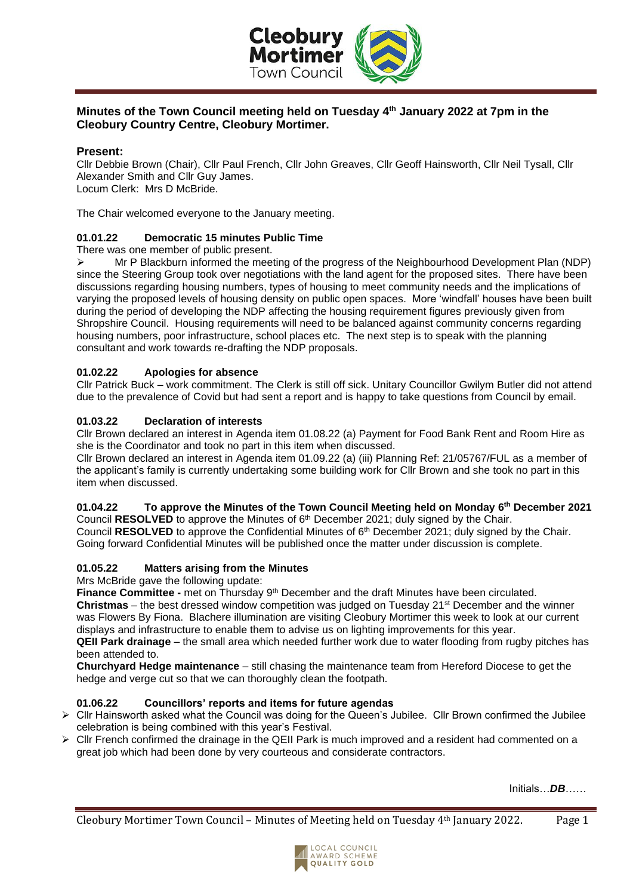

# **Minutes of the Town Council meeting held on Tuesday 4th January 2022 at 7pm in the Cleobury Country Centre, Cleobury Mortimer.**

# **Present:**

Cllr Debbie Brown (Chair), Cllr Paul French, Cllr John Greaves, Cllr Geoff Hainsworth, Cllr Neil Tysall, Cllr Alexander Smith and Cllr Guy James. Locum Clerk: Mrs D McBride.

The Chair welcomed everyone to the January meeting.

## **01.01.22 Democratic 15 minutes Public Time**

There was one member of public present.

➢ Mr P Blackburn informed the meeting of the progress of the Neighbourhood Development Plan (NDP) since the Steering Group took over negotiations with the land agent for the proposed sites. There have been discussions regarding housing numbers, types of housing to meet community needs and the implications of varying the proposed levels of housing density on public open spaces. More 'windfall' houses have been built during the period of developing the NDP affecting the housing requirement figures previously given from Shropshire Council. Housing requirements will need to be balanced against community concerns regarding housing numbers, poor infrastructure, school places etc. The next step is to speak with the planning consultant and work towards re-drafting the NDP proposals.

## **01.02.22 Apologies for absence**

Cllr Patrick Buck – work commitment. The Clerk is still off sick. Unitary Councillor Gwilym Butler did not attend due to the prevalence of Covid but had sent a report and is happy to take questions from Council by email.

#### **01.03.22 Declaration of interests**

Cllr Brown declared an interest in Agenda item 01.08.22 (a) Payment for Food Bank Rent and Room Hire as she is the Coordinator and took no part in this item when discussed.

Cllr Brown declared an interest in Agenda item 01.09.22 (a) (iii) Planning Ref: 21/05767/FUL as a member of the applicant's family is currently undertaking some building work for Cllr Brown and she took no part in this item when discussed.

## **01.04.22 To approve the Minutes of the Town Council Meeting held on Monday 6 th December 2021**

Council RESOLVED to approve the Minutes of 6<sup>th</sup> December 2021; duly signed by the Chair. Council RESOLVED to approve the Confidential Minutes of 6<sup>th</sup> December 2021; duly signed by the Chair. Going forward Confidential Minutes will be published once the matter under discussion is complete.

## **01.05.22 Matters arising from the Minutes**

Mrs McBride gave the following update:

**Finance Committee -** met on Thursday 9<sup>th</sup> December and the draft Minutes have been circulated. **Christmas** – the best dressed window competition was judged on Tuesday 21<sup>st</sup> December and the winner was Flowers By Fiona. Blachere illumination are visiting Cleobury Mortimer this week to look at our current displays and infrastructure to enable them to advise us on lighting improvements for this year.

**QEII Park drainage** – the small area which needed further work due to water flooding from rugby pitches has been attended to.

**Churchyard Hedge maintenance** – still chasing the maintenance team from Hereford Diocese to get the hedge and verge cut so that we can thoroughly clean the footpath.

# **01.06.22 Councillors' reports and items for future agendas**

- ➢ Cllr Hainsworth asked what the Council was doing for the Queen's Jubilee. Cllr Brown confirmed the Jubilee celebration is being combined with this year's Festival.
- $\triangleright$  Cllr French confirmed the drainage in the QEII Park is much improved and a resident had commented on a great job which had been done by very courteous and considerate contractors.

Initials…*DB*……

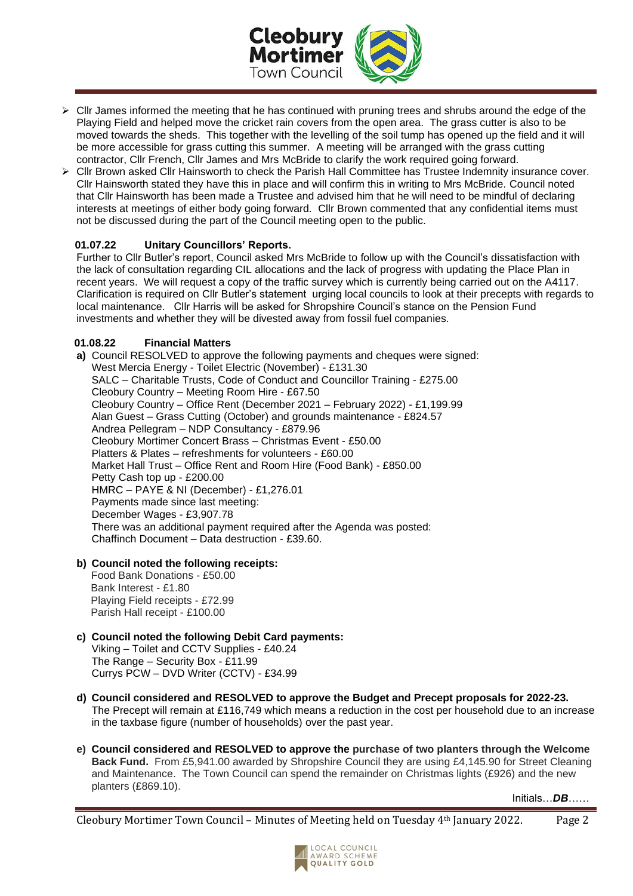

- $\triangleright$  Cllr James informed the meeting that he has continued with pruning trees and shrubs around the edge of the Playing Field and helped move the cricket rain covers from the open area. The grass cutter is also to be moved towards the sheds. This together with the levelling of the soil tump has opened up the field and it will be more accessible for grass cutting this summer. A meeting will be arranged with the grass cutting contractor, Cllr French, Cllr James and Mrs McBride to clarify the work required going forward.
- ➢ Cllr Brown asked Cllr Hainsworth to check the Parish Hall Committee has Trustee Indemnity insurance cover. Cllr Hainsworth stated they have this in place and will confirm this in writing to Mrs McBride. Council noted that Cllr Hainsworth has been made a Trustee and advised him that he will need to be mindful of declaring interests at meetings of either body going forward. Cllr Brown commented that any confidential items must not be discussed during the part of the Council meeting open to the public.

## **01.07.22 Unitary Councillors' Reports.**

Further to Cllr Butler's report, Council asked Mrs McBride to follow up with the Council's dissatisfaction with the lack of consultation regarding CIL allocations and the lack of progress with updating the Place Plan in recent years. We will request a copy of the traffic survey which is currently being carried out on the A4117. Clarification is required on Cllr Butler's statement urging local councils to look at their precepts with regards to local maintenance. Cllr Harris will be asked for Shropshire Council's stance on the Pension Fund investments and whether they will be divested away from fossil fuel companies.

## **01.08.22 Financial Matters**

**a)** Council RESOLVED to approve the following payments and cheques were signed: West Mercia Energy - Toilet Electric (November) - £131.30 SALC – Charitable Trusts, Code of Conduct and Councillor Training - £275.00 Cleobury Country – Meeting Room Hire - £67.50 Cleobury Country – Office Rent (December 2021 – February 2022) - £1,199.99 Alan Guest – Grass Cutting (October) and grounds maintenance - £824.57 Andrea Pellegram – NDP Consultancy - £879.96 Cleobury Mortimer Concert Brass – Christmas Event - £50.00 Platters & Plates – refreshments for volunteers - £60.00 Market Hall Trust – Office Rent and Room Hire (Food Bank) - £850.00 Petty Cash top up - £200.00 HMRC – PAYE & NI (December) - £1,276.01 Payments made since last meeting: December Wages - £3,907.78 There was an additional payment required after the Agenda was posted: Chaffinch Document – Data destruction - £39.60.

## **b) Council noted the following receipts:**

 Food Bank Donations - £50.00 Bank Interest - £1.80 Playing Field receipts - £72.99 Parish Hall receipt - £100.00

# **c) Council noted the following Debit Card payments:**

Viking – Toilet and CCTV Supplies - £40.24 The Range – Security Box - £11.99 Currys PCW – DVD Writer (CCTV) - £34.99

- **d) Council considered and RESOLVED to approve the Budget and Precept proposals for 2022-23.**  The Precept will remain at £116,749 which means a reduction in the cost per household due to an increase in the taxbase figure (number of households) over the past year.
- **e) Council considered and RESOLVED to approve the purchase of two planters through the Welcome Back Fund.** From £5,941.00 awarded by Shropshire Council they are using £4,145.90 for Street Cleaning and Maintenance. The Town Council can spend the remainder on Christmas lights (£926) and the new planters (£869.10).

Initials…*DB*……

Cleobury Mortimer Town Council – Minutes of Meeting held on Tuesday 4th January 2022. Page 2

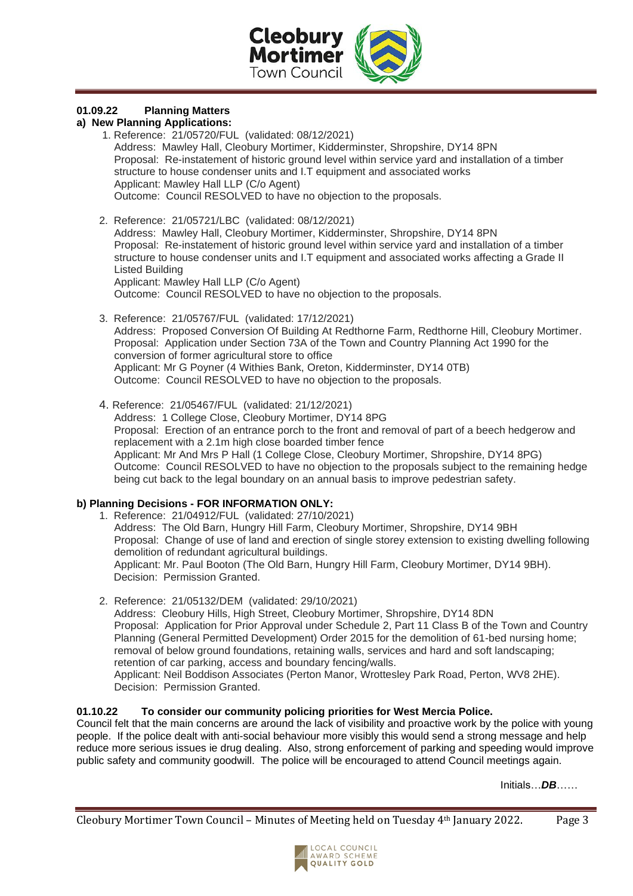

## **01.09.22 Planning Matters**

## **a) New Planning Applications:**

- 1. Reference: 21/05720/FUL (validated: 08/12/2021) Address: Mawley Hall, Cleobury Mortimer, Kidderminster, Shropshire, DY14 8PN Proposal: Re-instatement of historic ground level within service yard and installation of a timber structure to house condenser units and I.T equipment and associated works Applicant: Mawley Hall LLP (C/o Agent) Outcome: Council RESOLVED to have no objection to the proposals.
- 2. Reference: 21/05721/LBC (validated: 08/12/2021) Address: Mawley Hall, Cleobury Mortimer, Kidderminster, Shropshire, DY14 8PN Proposal: Re-instatement of historic ground level within service yard and installation of a timber structure to house condenser units and I.T equipment and associated works affecting a Grade II Listed Building Applicant: Mawley Hall LLP (C/o Agent) Outcome: Council RESOLVED to have no objection to the proposals.
- 3. Reference: 21/05767/FUL (validated: 17/12/2021) Address: Proposed Conversion Of Building At Redthorne Farm, Redthorne Hill, Cleobury Mortimer. Proposal: Application under Section 73A of the Town and Country Planning Act 1990 for the conversion of former agricultural store to office Applicant: Mr G Poyner (4 Withies Bank, Oreton, Kidderminster, DY14 0TB) Outcome: Council RESOLVED to have no objection to the proposals.
- 4. Reference: 21/05467/FUL (validated: 21/12/2021) Address: 1 College Close, Cleobury Mortimer, DY14 8PG Proposal: Erection of an entrance porch to the front and removal of part of a beech hedgerow and replacement with a 2.1m high close boarded timber fence Applicant: Mr And Mrs P Hall (1 College Close, Cleobury Mortimer, Shropshire, DY14 8PG) Outcome: Council RESOLVED to have no objection to the proposals subject to the remaining hedge being cut back to the legal boundary on an annual basis to improve pedestrian safety.

## **b) Planning Decisions - FOR INFORMATION ONLY:**

- 1. Reference: 21/04912/FUL (validated: 27/10/2021) Address: The Old Barn, Hungry Hill Farm, Cleobury Mortimer, Shropshire, DY14 9BH Proposal: Change of use of land and erection of single storey extension to existing dwelling following demolition of redundant agricultural buildings. Applicant: Mr. Paul Booton (The Old Barn, Hungry Hill Farm, Cleobury Mortimer, DY14 9BH). Decision: Permission Granted.
- 2. Reference: 21/05132/DEM (validated: 29/10/2021)

Address: Cleobury Hills, High Street, Cleobury Mortimer, Shropshire, DY14 8DN Proposal: Application for Prior Approval under Schedule 2, Part 11 Class B of the Town and Country Planning (General Permitted Development) Order 2015 for the demolition of 61-bed nursing home; removal of below ground foundations, retaining walls, services and hard and soft landscaping; retention of car parking, access and boundary fencing/walls. Applicant: Neil Boddison Associates (Perton Manor, Wrottesley Park Road, Perton, WV8 2HE).

Decision: Permission Granted.

## **01.10.22 To consider our community policing priorities for West Mercia Police.**

Council felt that the main concerns are around the lack of visibility and proactive work by the police with young people. If the police dealt with anti-social behaviour more visibly this would send a strong message and help reduce more serious issues ie drug dealing. Also, strong enforcement of parking and speeding would improve public safety and community goodwill. The police will be encouraged to attend Council meetings again.

Initials…*DB*……